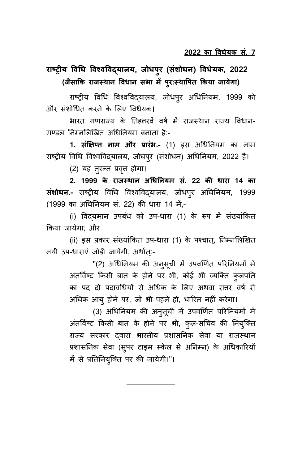# राष्ट्रीय विधि विश्वविद्**यालय, जोधप्**र (संशोधन) विधेयक, 2022 (जैसाकि राजस्थान विधान सभा में प्**र:स्थापित किया जायेगा**)

राष्ट्रीय विधि विश्वविद्यालय, जोधपुर अधिनियम, 1999 को और संशोधित करने के लिए विधेयक।

भारत गणराज्य के तिहत्तरवें वर्ष में राजस्थान राज्य विधान-मण्डल निम्नलिखित अधिनियम बनाता है:-

1. सं**क्षिप्त नाम और प्रारंभ.-** (1) इस अधिनियम का नाम राष्ट्रीय विधि विश्वविद्यालय, जोधपुर (संशोधन) अधिनियम, 2022 है।

(2) यह तूरन्त प्रवृत्त होगा।

**2. 1999 के राोस् था) ििधय)यं सं. 22 की धारा 14 का संशोधन.-** राष्ट्रीय विधि विश्वविद्यालय, जोधपुर अधिनियम, 1999 (1999 का अधिनियम सं. 22) की धारा 14 में,-

(i) विद्**यमान उपबंध को उप-धारा (1) के रूप में** संख्यांकित किया जायेगा: और

(ii) इस प्रकार संख्यांकित उप-धारा (1) के पश्चात्, निम्नलिखित नयी उप-धाराएं जोड़ी जायेंगी, अर्थात:-

> "(2) अधिनियम की अनुसूची में उपवर्णित परिनियमों में अंतर्विष्ट किसी बात के होने पर भी, कोई भी व्यक्ति कुलपति का पद दो पदावधियों से अधिक के लिए अथवा सत्तर वर्ष से अधिक आयू होने पर, जो भी पहले हो, धारित नहीं करेगा।

> (3) अधिनियम की अनुसूची में उपवर्णित परिनियमों में अंतर्विष्ट किसी बात के होने पर भी, कुल-सचिव की नियुक्ति राज्य सरकार दवारा भारतीय प्रशासनिक सेवा या राजस्थान प्रशासनिक सेवा (सुपर टाइम स्केल से अनिम्न) के अधिकारियों में से प्रतिनियुक्ति पर की जायेगी।"।

> > \_\_\_\_\_\_\_\_\_\_\_\_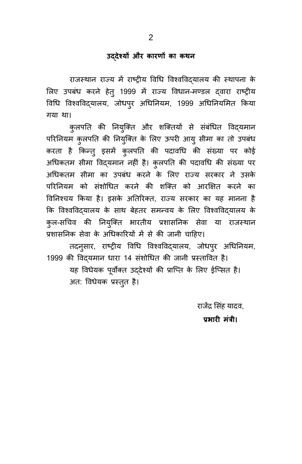### उद्देश्यों और कारणों का कथ**न**

राजस्थान राज्य में राष्ट्रीय विधि विश्वविद्यालय की स्थापना के लिए उपबंध करने हेत् 1999 में राज्य विधान-मण्डल दवारा राष्ट्रीय विधि विश्वविद्यालय, जोधपुर अधिनियम, 1999 अधिनियमित किया गया था।

क्लपति की नियुक्ति और शक्तियों से संबंधित विद्यमान परिनियम कुलपति की नियुक्ति के लिए ऊपरी आयु सीमा का तो उपबंध करता है किन्त् इसमें कुलपति की पदावधि की संख्या पर कोई अधिकतम सीमा विद्**यमान नहीं है। कुलपति की पदावधि की संख्या** पर अधिकतम सीमा का उपबंध करने के लिए राज्य सरकार ने उसके परिनियम को संशोधित करने की शक्ति को आरक्षित करने का विनिश्चय किया है। इसके अतिरिक्त, राज्य सरकार का यह मानना है कि विश्वविद्यालय के साथ बेहतर समन्वय के लिए विश्वविद्यालय के क्ल-सचिव की नियुक्ति भारतीय प्रशासनिक सेवा या राजस्थान प्रशासनिक सेवा के अधिकारियों में से की जानी चाहिए।

तदन्सार, राष्ट्रीय विधि विश्वविद्यालय, जोधपूर अधिनियम, 1999 की विदयमान धारा 14 संशोधित की जानी प्रस्तावित है। यह विधेयक पूर्वोक्त उद्देश्यों की प्राप्ति के लिए ईप्सित है। अत: विधेयक प्रस्तुत है।

राजेंद्र सिंह यादव,

प्रभारी मंत्री।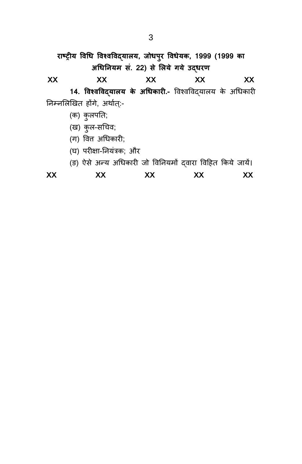राष्ट्रीय विधि विश्वविद्**यालय, जोधपुर विधेयक, 1999 (1999** का अधिनियम सं. 22) से लिये गये उद्**धरण XX XX XX XX XX** 14. विश्वविद्**यालय के अधिकारी.-** विश्वविद्**यालय के अधिकारी** निम्नलिखित होंगे, अर्थात्:-(क) कुलपति; (ख) कुल-सचिव; (ग) वित अधिकारी;

- (घ) परीक्षा-नियंत्रक; और
- (ङ) ऐसे अन्य अधिकारी जो विनियमों दवारा विहित किये जायें।

| XX | XX | vv<br>$\lambda$ | XX | XX |
|----|----|-----------------|----|----|
|    |    |                 |    |    |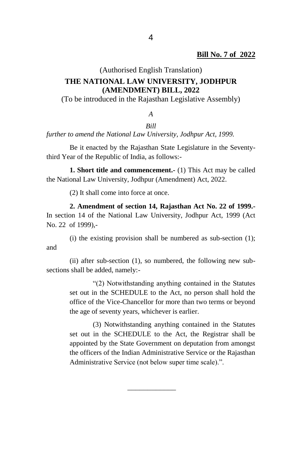## (Authorised English Translation) **THE NATIONAL LAW UNIVERSITY, JODHPUR (AMENDMENT) BILL, 2022**

(To be introduced in the Rajasthan Legislative Assembly)

*A*

#### *Bill*

*further to amend the National Law University, Jodhpur Act, 1999.*

Be it enacted by the Rajasthan State Legislature in the Seventythird Year of the Republic of India, as follows:-

**1. Short title and commencement.-** (1) This Act may be called the National Law University, Jodhpur (Amendment) Act, 2022.

(2) It shall come into force at once.

**2. Amendment of section 14, Rajasthan Act No. 22 of 1999.-** In section 14 of the National Law University, Jodhpur Act, 1999 (Act No. 22 of 1999),-

(i) the existing provision shall be numbered as sub-section (1); and

(ii) after sub-section (1), so numbered, the following new subsections shall be added, namely:-

> "(2) Notwithstanding anything contained in the Statutes set out in the SCHEDULE to the Act, no person shall hold the office of the Vice-Chancellor for more than two terms or beyond the age of seventy years, whichever is earlier.

> (3) Notwithstanding anything contained in the Statutes set out in the SCHEDULE to the Act, the Registrar shall be appointed by the State Government on deputation from amongst the officers of the Indian Administrative Service or the Rajasthan Administrative Service (not below super time scale).".

> > $\overline{\phantom{a}}$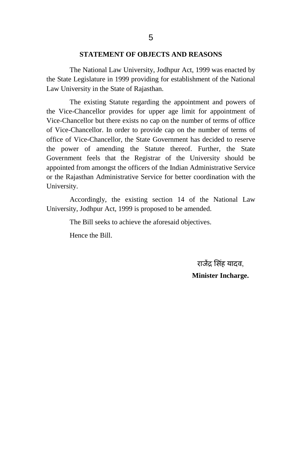#### **STATEMENT OF OBJECTS AND REASONS**

The National Law University, Jodhpur Act, 1999 was enacted by the State Legislature in 1999 providing for establishment of the National Law University in the State of Rajasthan.

The existing Statute regarding the appointment and powers of the Vice-Chancellor provides for upper age limit for appointment of Vice-Chancellor but there exists no cap on the number of terms of office of Vice-Chancellor. In order to provide cap on the number of terms of office of Vice-Chancellor, the State Government has decided to reserve the power of amending the Statute thereof. Further, the State Government feels that the Registrar of the University should be appointed from amongst the officers of the Indian Administrative Service or the Rajasthan Administrative Service for better coordination with the University.

Accordingly, the existing section 14 of the National Law University, Jodhpur Act, 1999 is proposed to be amended.

The Bill seeks to achieve the aforesaid objectives.

Hence the Bill.

राजेंद्र सिंह यादव, **Minister Incharge.**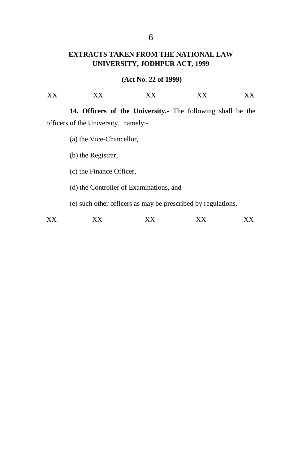### **EXTRACTS TAKEN FROM THE NATIONAL LAW UNIVERSITY, JODHPUR ACT, 1999**

#### **(Act No. 22 of 1999)**

| $\mathbf{V} \mathbf{V}$<br>л<br>×<br>. | ---- | $- - -$ | ----<br>↗ | $- - -$ |
|----------------------------------------|------|---------|-----------|---------|
|----------------------------------------|------|---------|-----------|---------|

**14. Officers of the University.-** The following shall be the officers of the University, namely:-

(a) the Vice-Chancellor,

(b) the Registrar,

(c) the Finance Officer,

(d) the Controller of Examinations, and

(e) such other officers as may be prescribed by regulations.

XX XX XX XX XX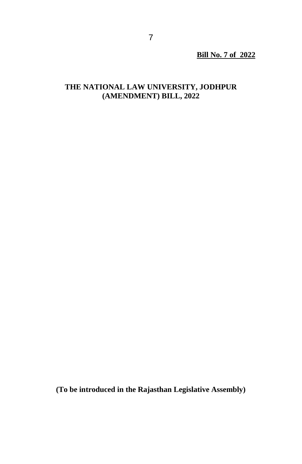**Bill No. 7 of 2022**

## **THE NATIONAL LAW UNIVERSITY, JODHPUR (AMENDMENT) BILL, 2022**

**(To be introduced in the Rajasthan Legislative Assembly)**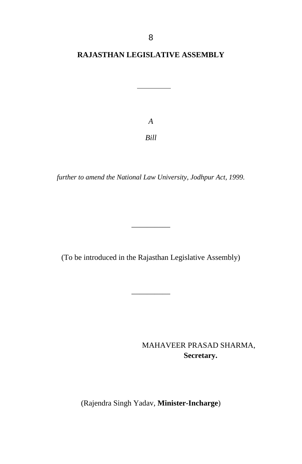### **RAJASTHAN LEGISLATIVE ASSEMBLY**

*A Bill*

*further to amend the National Law University, Jodhpur Act, 1999.*

(To be introduced in the Rajasthan Legislative Assembly)

\_\_\_\_\_\_\_\_\_\_

 $\mathcal{L}$  and  $\mathcal{L}$  and  $\mathcal{L}$ 

MAHAVEER PRASAD SHARMA,  **Secretary.**

(Rajendra Singh Yadav, **Minister-Incharge**)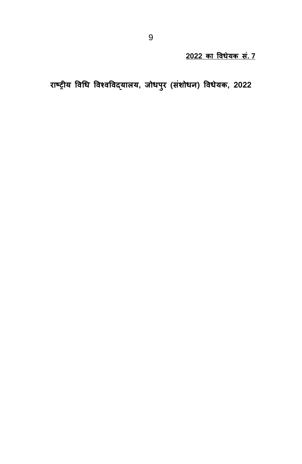<u>2022 का विधेयक सं. 7</u>

राष्ट्रीय विधि विश्वविद्यालय, जोधपुर (संशोधन) विधेयक, 2022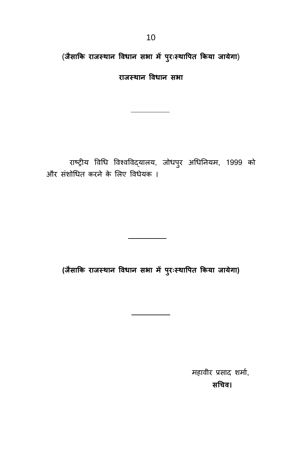(जैसाकि राजस्थान विधान सभा में पुरःस्थापित किया जायेगा)

**राोस् था) विधा) स ा**

राष्ट्रीय विधि विश्वविद्यालय, जोधपुर अधिनियम, 1999 को और संशोधित करने के लिए विधेयक ।

**(ोैसाकक राोस् था) विधा) स ा ं पुररःस्थावुक ककया ोाये ा)**

महावीर प्रसाद शर्मा, **सििि।**